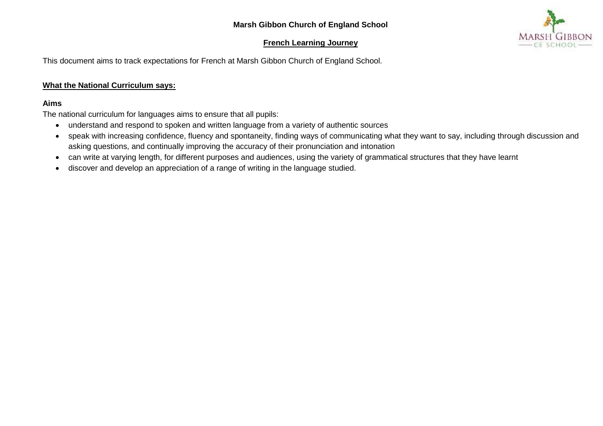## **Marsh Gibbon Church of England School**

## **French Learning Journey**



This document aims to track expectations for French at Marsh Gibbon Church of England School.

## **What the National Curriculum says:**

## **Aims**

The national curriculum for languages aims to ensure that all pupils:

- understand and respond to spoken and written language from a variety of authentic sources
- speak with increasing confidence, fluency and spontaneity, finding ways of communicating what they want to say, including through discussion and asking questions, and continually improving the accuracy of their pronunciation and intonation
- can write at varying length, for different purposes and audiences, using the variety of grammatical structures that they have learnt
- discover and develop an appreciation of a range of writing in the language studied.